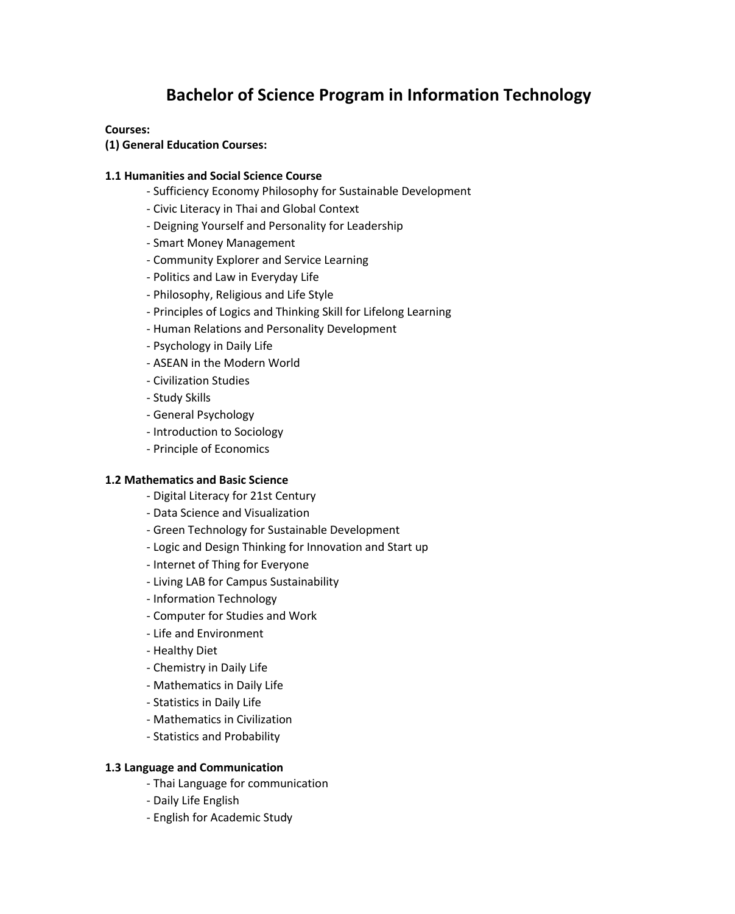# **Bachelor of Science Program in Information Technology**

#### **Courses:**

**(1) General Education Courses:** 

#### **1.1 Humanities and Social Science Course**

- Sufficiency Economy Philosophy for Sustainable Development
- Civic Literacy in Thai and Global Context
- Deigning Yourself and Personality for Leadership
- Smart Money Management
- Community Explorer and Service Learning
- Politics and Law in Everyday Life
- Philosophy, Religious and Life Style
- Principles of Logics and Thinking Skill for Lifelong Learning
- Human Relations and Personality Development
- Psychology in Daily Life
- ASEAN in the Modern World
- Civilization Studies
- Study Skills
- General Psychology
- Introduction to Sociology
- Principle of Economics

#### **1.2 Mathematics and Basic Science**

- Digital Literacy for 21st Century
- Data Science and Visualization
- Green Technology for Sustainable Development
- Logic and Design Thinking for Innovation and Start up
- Internet of Thing for Everyone
- Living LAB for Campus Sustainability
- Information Technology
- Computer for Studies and Work
- Life and Environment
- Healthy Diet
- Chemistry in Daily Life
- Mathematics in Daily Life
- Statistics in Daily Life
- Mathematics in Civilization
- Statistics and Probability

#### **1.3 Language and Communication**

- Thai Language for communication
- Daily Life English
- English for Academic Study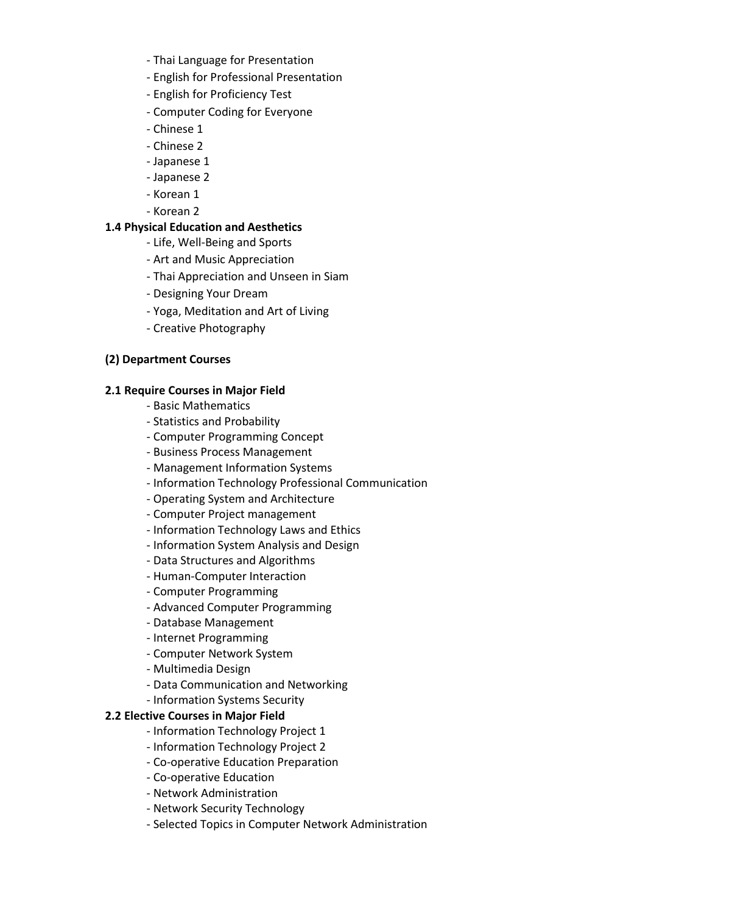- Thai Language for Presentation
- English for Professional Presentation
- English for Proficiency Test
- Computer Coding for Everyone
- Chinese 1
- Chinese 2
- Japanese 1
- Japanese 2
- Korean 1
- Korean 2

## **1.4 Physical Education and Aesthetics**

- Life, Well-Being and Sports
- Art and Music Appreciation
- Thai Appreciation and Unseen in Siam
- Designing Your Dream
- Yoga, Meditation and Art of Living
- Creative Photography

## **(2) Department Courses**

## **2.1 Require Courses in Major Field**

- Basic Mathematics
- Statistics and Probability
- Computer Programming Concept
- Business Process Management
- Management Information Systems
- Information Technology Professional Communication
- Operating System and Architecture
- Computer Project management
- Information Technology Laws and Ethics
- Information System Analysis and Design
- Data Structures and Algorithms
- Human-Computer Interaction
- Computer Programming
- Advanced Computer Programming
- Database Management
- Internet Programming
- Computer Network System
- Multimedia Design
- Data Communication and Networking
- Information Systems Security

## **2.2 Elective Courses in Major Field**

- Information Technology Project 1
- Information Technology Project 2
- Co-operative Education Preparation
- Co-operative Education
- Network Administration
- Network Security Technology
- Selected Topics in Computer Network Administration